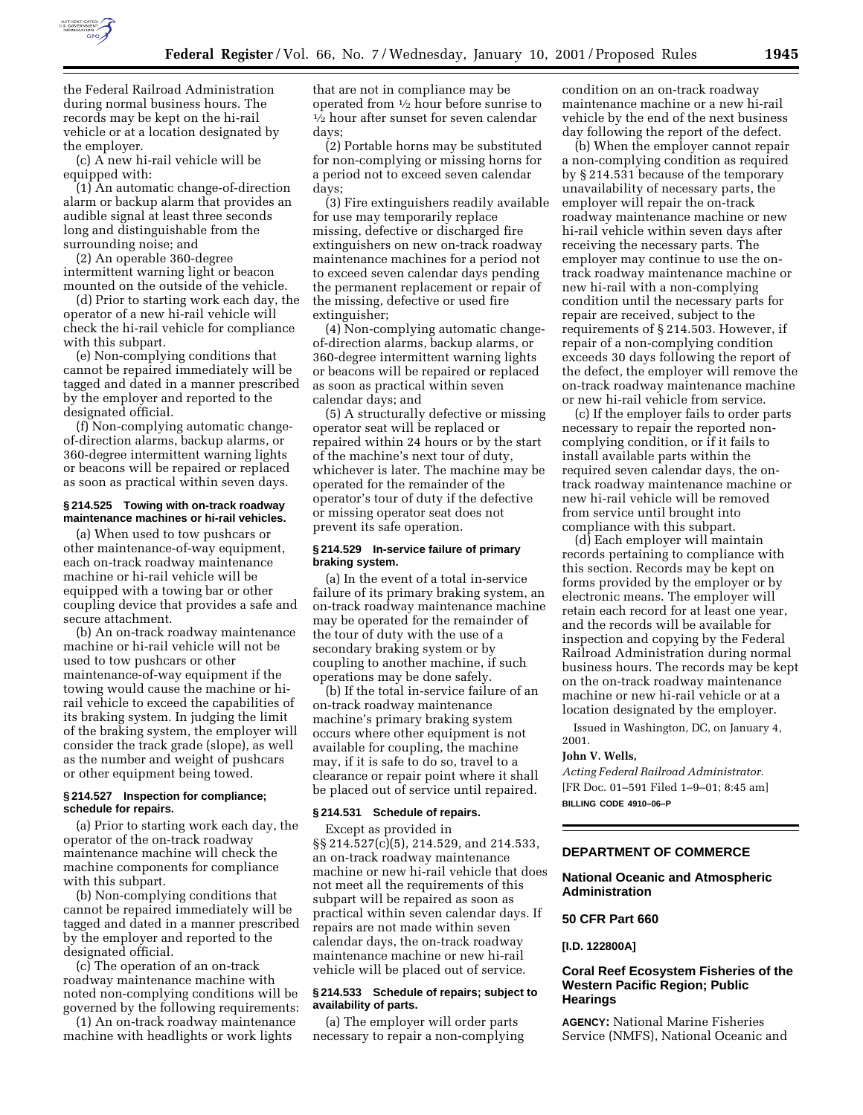

the Federal Railroad Administration during normal business hours. The records may be kept on the hi-rail vehicle or at a location designated by the employer.

(c) A new hi-rail vehicle will be equipped with:

(1) An automatic change-of-direction alarm or backup alarm that provides an audible signal at least three seconds long and distinguishable from the surrounding noise; and

(2) An operable 360-degree intermittent warning light or beacon mounted on the outside of the vehicle.

(d) Prior to starting work each day, the operator of a new hi-rail vehicle will check the hi-rail vehicle for compliance with this subpart.

(e) Non-complying conditions that cannot be repaired immediately will be tagged and dated in a manner prescribed by the employer and reported to the designated official.

(f) Non-complying automatic changeof-direction alarms, backup alarms, or 360-degree intermittent warning lights or beacons will be repaired or replaced as soon as practical within seven days.

#### **§ 214.525 Towing with on-track roadway maintenance machines or hi-rail vehicles.**

(a) When used to tow pushcars or other maintenance-of-way equipment, each on-track roadway maintenance machine or hi-rail vehicle will be equipped with a towing bar or other coupling device that provides a safe and secure attachment.

(b) An on-track roadway maintenance machine or hi-rail vehicle will not be used to tow pushcars or other maintenance-of-way equipment if the towing would cause the machine or hirail vehicle to exceed the capabilities of its braking system. In judging the limit of the braking system, the employer will consider the track grade (slope), as well as the number and weight of pushcars or other equipment being towed.

## **§ 214.527 Inspection for compliance; schedule for repairs.**

(a) Prior to starting work each day, the operator of the on-track roadway maintenance machine will check the machine components for compliance with this subpart.

(b) Non-complying conditions that cannot be repaired immediately will be tagged and dated in a manner prescribed by the employer and reported to the designated official.

(c) The operation of an on-track roadway maintenance machine with noted non-complying conditions will be governed by the following requirements:

(1) An on-track roadway maintenance machine with headlights or work lights

that are not in compliance may be operated from 1⁄2 hour before sunrise to 1⁄2 hour after sunset for seven calendar days;

(2) Portable horns may be substituted for non-complying or missing horns for a period not to exceed seven calendar days;

(3) Fire extinguishers readily available for use may temporarily replace missing, defective or discharged fire extinguishers on new on-track roadway maintenance machines for a period not to exceed seven calendar days pending the permanent replacement or repair of the missing, defective or used fire extinguisher;

(4) Non-complying automatic changeof-direction alarms, backup alarms, or 360-degree intermittent warning lights or beacons will be repaired or replaced as soon as practical within seven calendar days; and

(5) A structurally defective or missing operator seat will be replaced or repaired within 24 hours or by the start of the machine's next tour of duty, whichever is later. The machine may be operated for the remainder of the operator's tour of duty if the defective or missing operator seat does not prevent its safe operation.

### **§ 214.529 In-service failure of primary braking system.**

(a) In the event of a total in-service failure of its primary braking system, an on-track roadway maintenance machine may be operated for the remainder of the tour of duty with the use of a secondary braking system or by coupling to another machine, if such operations may be done safely.

(b) If the total in-service failure of an on-track roadway maintenance machine's primary braking system occurs where other equipment is not available for coupling, the machine may, if it is safe to do so, travel to a clearance or repair point where it shall be placed out of service until repaired.

### **§ 214.531 Schedule of repairs.**

Except as provided in §§ 214.527(c)(5), 214.529, and 214.533, an on-track roadway maintenance machine or new hi-rail vehicle that does not meet all the requirements of this subpart will be repaired as soon as practical within seven calendar days. If repairs are not made within seven calendar days, the on-track roadway maintenance machine or new hi-rail vehicle will be placed out of service.

### **§ 214.533 Schedule of repairs; subject to availability of parts.**

(a) The employer will order parts necessary to repair a non-complying condition on an on-track roadway maintenance machine or a new hi-rail vehicle by the end of the next business day following the report of the defect.

(b) When the employer cannot repair a non-complying condition as required by § 214.531 because of the temporary unavailability of necessary parts, the employer will repair the on-track roadway maintenance machine or new hi-rail vehicle within seven days after receiving the necessary parts. The employer may continue to use the ontrack roadway maintenance machine or new hi-rail with a non-complying condition until the necessary parts for repair are received, subject to the requirements of § 214.503. However, if repair of a non-complying condition exceeds 30 days following the report of the defect, the employer will remove the on-track roadway maintenance machine or new hi-rail vehicle from service.

(c) If the employer fails to order parts necessary to repair the reported noncomplying condition, or if it fails to install available parts within the required seven calendar days, the ontrack roadway maintenance machine or new hi-rail vehicle will be removed from service until brought into compliance with this subpart.

(d) Each employer will maintain records pertaining to compliance with this section. Records may be kept on forms provided by the employer or by electronic means. The employer will retain each record for at least one year, and the records will be available for inspection and copying by the Federal Railroad Administration during normal business hours. The records may be kept on the on-track roadway maintenance machine or new hi-rail vehicle or at a location designated by the employer.

Issued in Washington, DC, on January 4, 2001.

#### **John V. Wells,**

*Acting Federal Railroad Administrator.* [FR Doc. 01–591 Filed 1–9–01; 8:45 am] **BILLING CODE 4910–06–P**

# **DEPARTMENT OF COMMERCE**

**National Oceanic and Atmospheric Administration**

# **50 CFR Part 660**

**[I.D. 122800A]**

## **Coral Reef Ecosystem Fisheries of the Western Pacific Region; Public Hearings**

**AGENCY:** National Marine Fisheries Service (NMFS), National Oceanic and